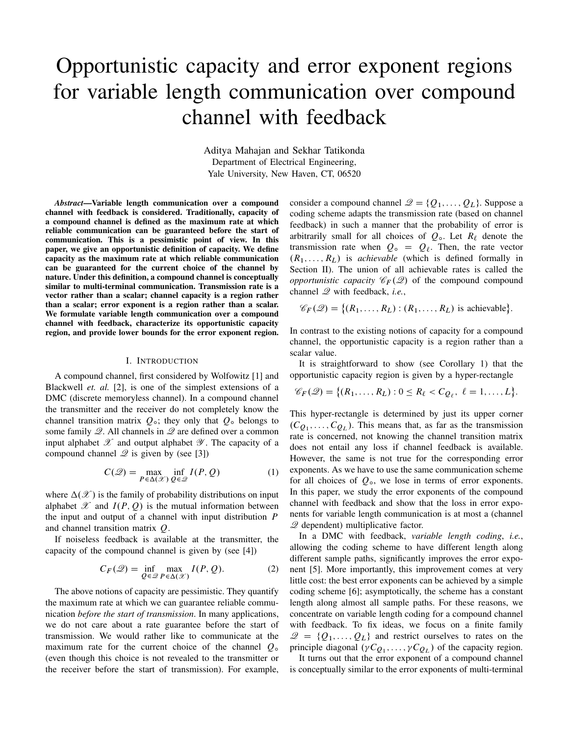# Opportunistic capacity and error exponent regions for variable length communication over compound channel with feedback

Aditya Mahajan and Sekhar Tatikonda Department of Electrical Engineering, Yale University, New Haven, CT, 06520

*Abstract*—Variable length communication over a compound channel with feedback is considered. Traditionally, capacity of a compound channel is defined as the maximum rate at which reliable communication can be guaranteed before the start of communication. This is a pessimistic point of view. In this paper, we give an opportunistic definition of capacity. We define capacity as the maximum rate at which reliable communication can be guaranteed for the current choice of the channel by nature. Under this definition, a compound channel is conceptually similar to multi-terminal communication. Transmission rate is a vector rather than a scalar; channel capacity is a region rather than a scalar; error exponent is a region rather than a scalar. We formulate variable length communication over a compound channel with feedback, characterize its opportunistic capacity region, and provide lower bounds for the error exponent region.

#### I. INTRODUCTION

A compound channel, first considered by Wolfowitz [1] and Blackwell *et. al.* [2], is one of the simplest extensions of a DMC (discrete memoryless channel). In a compound channel the transmitter and the receiver do not completely know the channel transition matrix  $Q_0$ ; they only that  $Q_0$  belongs to some family  $\mathscr Q$ . All channels in  $\mathscr Q$  are defined over a common input alphabet  $\mathscr X$  and output alphabet  $\mathscr Y$ . The capacity of a compound channel  $\mathscr Q$  is given by (see [3])

$$
C(\mathcal{Q}) = \max_{P \in \Delta(\mathcal{X})} \inf_{Q \in \mathcal{Q}} I(P, Q)
$$
 (1)

where  $\Delta(\mathscr{X})$  is the family of probability distributions on input alphabet  $\mathscr X$  and  $I(P, Q)$  is the mutual information between the input and output of a channel with input distribution  $$ and channel transition matrix Q.

If noiseless feedback is available at the transmitter, the capacity of the compound channel is given by (see [4])

$$
C_F(\mathcal{Q}) = \inf_{Q \in \mathcal{Q}} \max_{P \in \Delta(\mathcal{X})} I(P, Q). \tag{2}
$$

The above notions of capacity are pessimistic. They quantify the maximum rate at which we can guarantee reliable communication *before the start of transmission*. In many applications, we do not care about a rate guarantee before the start of transmission. We would rather like to communicate at the maximum rate for the current choice of the channel  $Q_0$ (even though this choice is not revealed to the transmitter or the receiver before the start of transmission). For example, consider a compound channel  $\mathcal{Q} = \{Q_1, \ldots, Q_L\}$ . Suppose a coding scheme adapts the transmission rate (based on channel feedback) in such a manner that the probability of error is arbitrarily small for all choices of  $Q_0$ . Let  $R_\ell$  denote the transmission rate when  $Q_0 = Q_\ell$ . Then, the rate vector  $(R_1, \ldots, R_L)$  is *achievable* (which is defined formally in Section II). The union of all achievable rates is called the *opportunistic capacity*  $\mathcal{C}_F(\mathcal{Q})$  of the compound compound channel Q with feedback, *i.e.*,

$$
\mathscr{C}_F(\mathscr{Q}) = \{ (R_1, \ldots, R_L) : (R_1, \ldots, R_L) \text{ is achievable} \}.
$$

In contrast to the existing notions of capacity for a compound channel, the opportunistic capacity is a region rather than a scalar value.

It is straightforward to show (see Corollary 1) that the opportunistic capacity region is given by a hyper-rectangle

$$
\mathscr{C}_F(\mathscr{Q}) = \{ (R_1, \ldots, R_L) : 0 \leq R_\ell < C_{\mathcal{Q}_\ell}, \ell = 1, \ldots, L \}.
$$

This hyper-rectangle is determined by just its upper corner  $(C_{Q_1}, \ldots, C_{Q_L})$ . This means that, as far as the transmission rate is concerned, not knowing the channel transition matrix does not entail any loss if channel feedback is available. However, the same is not true for the corresponding error exponents. As we have to use the same communication scheme for all choices of  $Q_0$ , we lose in terms of error exponents. In this paper, we study the error exponents of the compound channel with feedback and show that the loss in error exponents for variable length communication is at most a (channel Q dependent) multiplicative factor.

In a DMC with feedback, *variable length coding*, *i.e.*, allowing the coding scheme to have different length along different sample paths, significantly improves the error exponent [5]. More importantly, this improvement comes at very little cost: the best error exponents can be achieved by a simple coding scheme [6]; asymptotically, the scheme has a constant length along almost all sample paths. For these reasons, we concentrate on variable length coding for a compound channel with feedback. To fix ideas, we focus on a finite family  $\mathcal{Q} = \{Q_1, \ldots, Q_L\}$  and restrict ourselves to rates on the principle diagonal  $(\gamma C_{Q_1}, \ldots, \gamma C_{Q_L})$  of the capacity region.

It turns out that the error exponent of a compound channel is conceptually similar to the error exponents of multi-terminal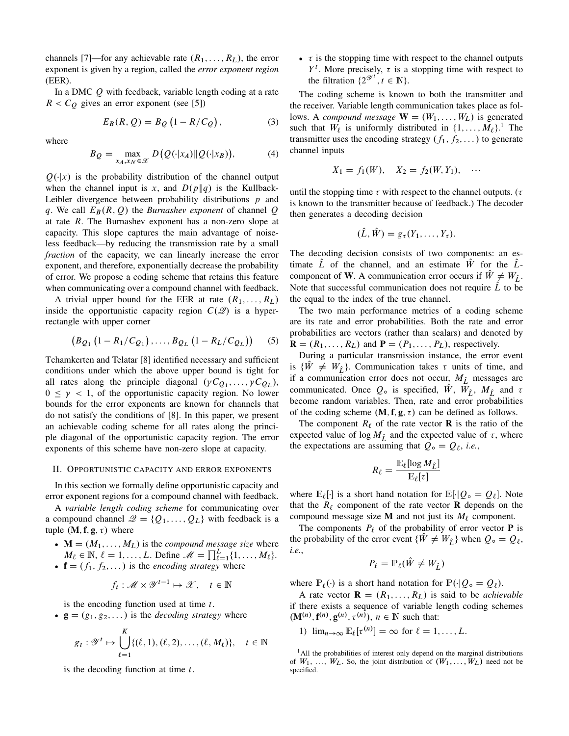channels [7]—for any achievable rate  $(R_1, \ldots, R_L)$ , the error exponent is given by a region, called the *error exponent region* (EER).

In a DMC Q with feedback, variable length coding at a rate  $R < C_Q$  gives an error exponent (see [5])

$$
E_B(R, Q) = B_Q(1 - R/C_Q), \qquad (3)
$$

where

$$
B_Q = \max_{x_A, x_N \in \mathcal{X}} D(Q(\cdot | x_A) \| Q(\cdot | x_B)), \tag{4}
$$

 $Q(\cdot|x)$  is the probability distribution of the channel output when the channel input is x, and  $D(p||q)$  is the Kullback-Leibler divergence between probability distributions  $p$  and q. We call  $E_B(R, Q)$  the *Burnashev exponent* of channel Q at rate R. The Burnashev exponent has a non-zero slope at capacity. This slope captures the main advantage of noiseless feedback—by reducing the transmission rate by a small *fraction* of the capacity, we can linearly increase the error exponent, and therefore, exponentially decrease the probability of error. We propose a coding scheme that retains this feature when communicating over a compound channel with feedback.

A trivial upper bound for the EER at rate  $(R_1, \ldots, R_L)$ inside the opportunistic capacity region  $C(2)$  is a hyperrectangle with upper corner

$$
(B_{Q_1}(1 - R_1/C_{Q_1}),..., B_{Q_L}(1 - R_L/C_{Q_L}))
$$
 (5)

Tchamkerten and Telatar [8] identified necessary and sufficient conditions under which the above upper bound is tight for all rates along the principle diagonal  $(\gamma C_{Q_1}, \ldots, \gamma C_{Q_L}),$  $0 \leq \gamma < 1$ , of the opportunistic capacity region. No lower bounds for the error exponents are known for channels that do not satisfy the conditions of [8]. In this paper, we present an achievable coding scheme for all rates along the principle diagonal of the opportunistic capacity region. The error exponents of this scheme have non-zero slope at capacity.

## II. OPPORTUNISTIC CAPACITY AND ERROR EXPONENTS

In this section we formally define opportunistic capacity and error exponent regions for a compound channel with feedback.

A *variable length coding scheme* for communicating over a compound channel  $\mathcal{Q} = \{Q_1, \ldots, Q_L\}$  with feedback is a tuple  $(M, f, g, \tau)$  where

- $\bullet$   $\mathbf{M} = (M_1, \dots, M_L)$  is the *compound message size* where  $M_{\ell} \in \mathbb{N}, \, \ell = 1, \ldots, L.$  Define  $\mathcal{M} = \prod_{\ell=1}^{L} \{1, \ldots, M_{\ell}\}.$
- $f = (f_1, f_2, \dots)$  is the *encoding strategy* where

$$
f_t: \mathcal{M} \times \mathcal{Y}^{t-1} \mapsto \mathcal{X}, \quad t \in \mathbb{N}
$$

is the encoding function used at time  $t$ .

•  $g = (g_1, g_2, \dots)$  is the *decoding strategy* where

$$
g_t: \mathscr{Y}^t \mapsto \bigcup_{\ell=1}^K \{(\ell, 1), (\ell, 2), \dots, (\ell, M_\ell)\}, \quad t \in \mathbb{N}
$$

is the decoding function at time  $t$ .

 $\bullet$   $\tau$  is the stopping time with respect to the channel outputs  $Y<sup>t</sup>$ . More precisely,  $\tau$  is a stopping time with respect to the filtration  $\{2^{\mathcal{Y}^t}, t \in \mathbb{N}\}.$ 

The coding scheme is known to both the transmitter and the receiver. Variable length communication takes place as follows. A *compound message*  $W = (W_1, \ldots, W_L)$  is generated such that  $W_{\ell}$  is uniformly distributed in  $\{1, \ldots, M_{\ell}\}$ .<sup>1</sup> The transmitter uses the encoding strategy  $(f_1, f_2, \dots)$  to generate channel inputs

$$
X_1 = f_1(W)
$$
,  $X_2 = f_2(W, Y_1)$ , ...

until the stopping time  $\tau$  with respect to the channel outputs. ( $\tau$ is known to the transmitter because of feedback.) The decoder then generates a decoding decision

$$
(\hat{L}, \hat{W}) = g_{\tau}(Y_1, \ldots, Y_{\tau}).
$$

The decoding decision consists of two components: an estimate L of the channel, and an estimate  $\hat{W}$  for the  $\hat{L}$ component of **W**. A communication error occurs if  $\hat{W} \neq W_{\hat{L}}$ . Note that successful communication does not require  $\hat{L}$  to be the equal to the index of the true channel.

The two main performance metrics of a coding scheme are its rate and error probabilities. Both the rate and error probabilities are vectors (rather than scalars) and denoted by  $\mathbf{R} = (R_1, \ldots, R_L)$  and  $\mathbf{P} = (P_1, \ldots, P_L)$ , respectively.

During a particular transmission instance, the error event is  $\{\hat{W} \neq W_{\hat{I}}\}\$ . Communication takes  $\tau$  units of time, and if a communication error does not occur,  $M_{\hat{L}}$  messages are communicated. Once  $Q_0$  is specified,  $\hat{W}$ ,  $\overline{W}_{\hat{L}}$ ,  $M_{\hat{L}}$  and  $\tau$ become random variables. Then, rate and error probabilities of the coding scheme  $(M, f, g, \tau)$  can be defined as follows.

The component  $R_\ell$  of the rate vector **R** is the ratio of the expected value of log  $M_{\hat{I}}$  and the expected value of  $\tau$ , where the expectations are assuming that  $Q_{\circ} = Q_{\ell}$ , *i.e.*,

$$
R_\ell = \frac{\mathbb{E}_\ell[\log M_{\hat{L}}]}{\mathbb{E}_\ell[\tau]}
$$

where  $\mathbb{E}_{\ell}[\cdot]$  is a short hand notation for  $\mathbb{E}[\cdot|Q_{\circ} = Q_{\ell}]$ . Note that the  $R_\ell$  component of the rate vector **R** depends on the compound message size **M** and not just its  $M_\ell$  component.

The components  $P_\ell$  of the probability of error vector **P** is the probability of the error event  $\{W \neq W_{\hat{I}}\}$  when  $Q_{\circ} = Q_{\ell}$ , *i.e.*,

$$
P_{\ell} = \mathbb{P}_{\ell}(\hat{W} \neq W_{\hat{L}})
$$

where  $\mathbb{P}_{\ell}(\cdot)$  is a short hand notation for  $\mathbb{P}(\cdot|Q_{\circ} = Q_{\ell}).$ 

A rate vector  $\mathbf{R} = (R_1, \ldots, R_L)$  is said to be *achievable* if there exists a sequence of variable length coding schemes  $(M^{(n)}, \mathbf{f}^{(n)}, \mathbf{g}^{(n)}, \tau^{(n)})$ ,  $n \in \mathbb{N}$  such that:

1)  $\lim_{n\to\infty} \mathbb{E}_{\ell}[\tau^{(n)}] = \infty$  for  $\ell = 1, ..., L$ .

<sup>&</sup>lt;sup>1</sup>All the probabilities of interest only depend on the marginal distributions of  $W_1, \ldots, W_L$ . So, the joint distribution of  $(W_1, \ldots, W_L)$  need not be specified.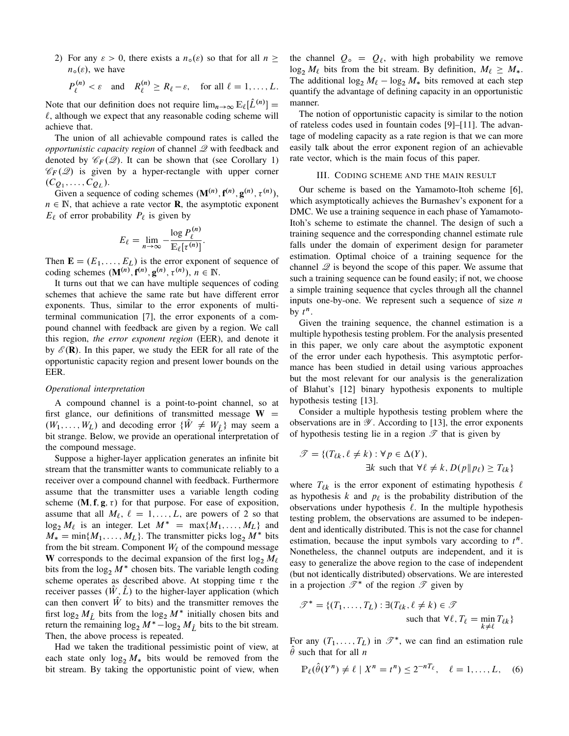2) For any  $\varepsilon > 0$ , there exists a  $n_0(\varepsilon)$  so that for all  $n >$  $n_{\circ}(\varepsilon)$ , we have

$$
P_{\ell}^{(n)} < \varepsilon
$$
 and  $R_{\ell}^{(n)} \ge R_{\ell} - \varepsilon$ , for all  $\ell = 1, ..., L$ .

Note that our definition does not require  $\lim_{n\to\infty} \mathbb{E}_{\ell}[\hat{L}^{(n)}] =$  $\ell$ , although we expect that any reasonable coding scheme will achieve that.

The union of all achievable compound rates is called the *opportunistic capacity region* of channel  $\mathscr Q$  with feedback and denoted by  $\mathscr{C}_F(\mathscr{Q})$ . It can be shown that (see Corollary 1)  $\mathscr{C}_F(\mathscr{Q})$  is given by a hyper-rectangle with upper corner  $(C_{Q_1},\ldots,C_{Q_L}).$ 

Given a sequence of coding schemes  $(M^{(n)}, f^{(n)}, g^{(n)}, \tau^{(n)}),$  $n \in \mathbb{N}$ , that achieve a rate vector **R**, the asymptotic exponent  $E_{\ell}$  of error probability  $P_{\ell}$  is given by

$$
E_{\ell} = \lim_{n \to \infty} -\frac{\log P_{\ell}^{(n)}}{\mathbb{E}_{\ell}[\tau^{(n)}]}.
$$

Then  $\mathbf{E} = (E_1, \dots, E_L)$  is the error exponent of sequence of coding schemes  $(\mathbf{M}^{(n)}, \mathbf{f}^{(n)}, \mathbf{g}^{(n)}, \tau^{(n)}), n \in \mathbb{N}.$ 

It turns out that we can have multiple sequences of coding schemes that achieve the same rate but have different error exponents. Thus, similar to the error exponents of multiterminal communication [7], the error exponents of a compound channel with feedback are given by a region. We call this region, *the error exponent region* (EER), and denote it by  $\mathscr{E}(\mathbf{R})$ . In this paper, we study the EER for all rate of the opportunistic capacity region and present lower bounds on the EER.

## *Operational interpretation*

A compound channel is a point-to-point channel, so at first glance, our definitions of transmitted message  $W =$  $(W_1, \ldots, W_L)$  and decoding error  $\{\hat{W} \neq W_{\hat{I}}\}$  may seem a bit strange. Below, we provide an operational interpretation of the compound message.

Suppose a higher-layer application generates an infinite bit stream that the transmitter wants to communicate reliably to a receiver over a compound channel with feedback. Furthermore assume that the transmitter uses a variable length coding scheme  $(M, f, g, \tau)$  for that purpose. For ease of exposition, assume that all  $M_{\ell}$ ,  $\ell = 1, \ldots, L$ , are powers of 2 so that  $\log_2 M_\ell$  is an integer. Let  $M^* = \max\{M_1, \ldots, M_L\}$  and  $M_* = \min\{M_1, \ldots, M_L\}$ . The transmitter picks  $\log_2 M^*$  bits from the bit stream. Component  $W_{\ell}$  of the compound message W corresponds to the decimal expansion of the first log<sub>2</sub>  $M_{\ell}$ bits from the  $\log_2 M^*$  chosen bits. The variable length coding scheme operates as described above. At stopping time  $\tau$  the receiver passes  $(\hat{W}, \hat{L})$  to the higher-layer application (which can then convert  $\hat{W}$  to bits) and the transmitter removes the first  $\log_2 M_{\hat{L}}$  bits from the  $\log_2 M^*$  initially chosen bits and return the remaining  $\log_2 M^* - \log_2 M_{\hat{L}}$  bits to the bit stream. Then, the above process is repeated.

Had we taken the traditional pessimistic point of view, at each state only  $\log_2 M_*$  bits would be removed from the bit stream. By taking the opportunistic point of view, when the channel  $Q_0 = Q_\ell$ , with high probability we remove  $\log_2 M_\ell$  bits from the bit stream. By definition,  $M_\ell \geq M_*$ . The additional  $\log_2 M_\ell - \log_2 M_*$  bits removed at each step quantify the advantage of defining capacity in an opportunistic manner.

The notion of opportunistic capacity is similar to the notion of rateless codes used in fountain codes [9]–[11]. The advantage of modeling capacity as a rate region is that we can more easily talk about the error exponent region of an achievable rate vector, which is the main focus of this paper.

## III. CODING SCHEME AND THE MAIN RESULT

Our scheme is based on the Yamamoto-Itoh scheme [6], which asymptotically achieves the Burnashev's exponent for a DMC. We use a training sequence in each phase of Yamamoto-Itoh's scheme to estimate the channel. The design of such a training sequence and the corresponding channel estimate rule falls under the domain of experiment design for parameter estimation. Optimal choice of a training sequence for the channel  $\mathscr Q$  is beyond the scope of this paper. We assume that such a training sequence can be found easily; if not, we choose a simple training sequence that cycles through all the channel inputs one-by-one. We represent such a sequence of size  $n$ by  $t^n$ .

Given the training sequence, the channel estimation is a multiple hypothesis testing problem. For the analysis presented in this paper, we only care about the asymptotic exponent of the error under each hypothesis. This asymptotic performance has been studied in detail using various approaches but the most relevant for our analysis is the generalization of Blahut's [12] binary hypothesis exponents to multiple hypothesis testing [13].

Consider a multiple hypothesis testing problem where the observations are in  $\mathscr Y$ . According to [13], the error exponents of hypothesis testing lie in a region  $\mathscr T$  that is given by

$$
\mathcal{T} = \{ (T_{\ell k}, \ell \neq k) : \forall p \in \Delta(Y),
$$
  
\n
$$
\exists k \text{ such that } \forall \ell \neq k, D(p \| p_{\ell}) \ge T_{\ell k} \}
$$

where  $T_{\ell k}$  is the error exponent of estimating hypothesis  $\ell$ as hypothesis  $k$  and  $p_\ell$  is the probability distribution of the observations under hypothesis  $\ell$ . In the multiple hypothesis testing problem, the observations are assumed to be independent and identically distributed. This is not the case for channel estimation, because the input symbols vary according to  $t^n$ . Nonetheless, the channel outputs are independent, and it is easy to generalize the above region to the case of independent (but not identically distributed) observations. We are interested in a projection  $\mathscr{T}^*$  of the region  $\mathscr{T}$  given by

$$
\mathcal{T}^* = \{ (T_1, \dots, T_L) : \exists (T_{\ell k}, \ell \neq k) \in \mathcal{T} \n\text{such that } \forall \ell, T_{\ell} = \min_{k \neq \ell} T_{\ell k} \}
$$

For any  $(T_1, \ldots, T_L)$  in  $\mathscr{T}^*$ , we can find an estimation rule  $\theta$  such that for all *n* 

$$
\mathbb{P}_{\ell}(\hat{\theta}(Y^n) \neq \ell \mid X^n = t^n) \leq 2^{-nT_{\ell}}, \quad \ell = 1, \dots, L, \quad (6)
$$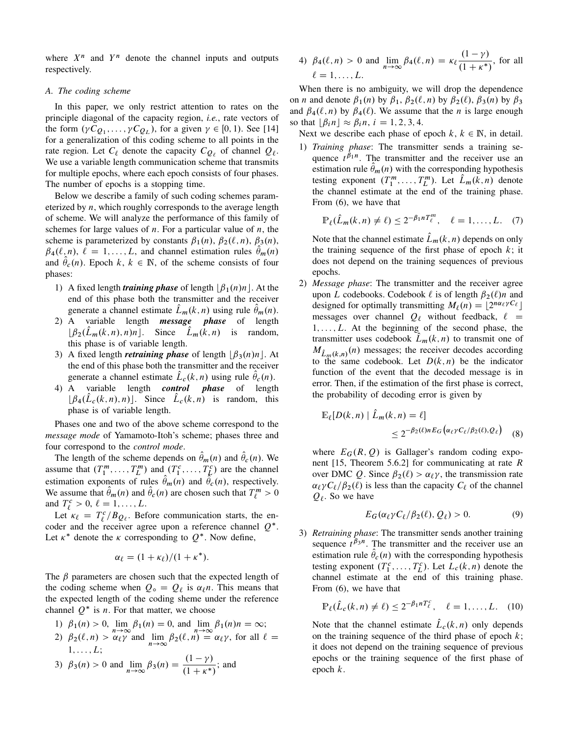where  $X^n$  and  $Y^n$  denote the channel inputs and outputs respectively.

## *A. The coding scheme*

In this paper, we only restrict attention to rates on the principle diagonal of the capacity region, *i.e.*, rate vectors of the form  $(\gamma C_{Q_1}, \ldots, \gamma C_{Q_L})$ , for a given  $\gamma \in [0, 1)$ . See [14] for a generalization of this coding scheme to all points in the rate region. Let  $C_{\ell}$  denote the capacity  $C_{Q_{\ell}}$  of channel  $Q_{\ell}$ . We use a variable length communication scheme that transmits for multiple epochs, where each epoch consists of four phases. The number of epochs is a stopping time.

Below we describe a family of such coding schemes parameterized by  $n$ , which roughly corresponds to the average length of scheme. We will analyze the performance of this family of schemes for large values of  $n$ . For a particular value of  $n$ , the scheme is parameterized by constants  $\beta_1(n)$ ,  $\beta_2(\ell, n)$ ,  $\beta_3(n)$ ,  $\beta_4(\ell,n), \ell = 1, \ldots, L$ , and channel estimation rules  $\hat{\theta}_m(n)$ and  $\hat{\theta}_c(n)$ . Epoch k,  $k \in \mathbb{N}$ , of the scheme consists of four phases:

- 1) A fixed length *training phase* of length  $\beta_1(n)n$ . At the end of this phase both the transmitter and the receiver generate a channel estimate  $\hat{L}_m(k,n)$  using rule  $\hat{\theta}_m(n)$ .
- 2) A variable length *message phase* of length  $\lfloor \beta_2(\hat{L}_m(k,n), n)n \rfloor$ . Since  $\hat{L}_m(k,n)$  is random, this phase is of variable length.
- 3) A fixed length *retraining phase* of length  $\left|\beta_3(n)n\right|$ . At the end of this phase both the transmitter and the receiver generate a channel estimate  $\hat{L}_c(k,n)$  using rule  $\hat{\theta}_c(n)$ .
- 4) A variable length *control phase* of length  $[\beta_4(\hat{L}_c(k,n),n)]$ . Since  $\hat{L}_c(k,n)$  is random, this phase is of variable length.

Phases one and two of the above scheme correspond to the *message mode* of Yamamoto-Itoh's scheme; phases three and four correspond to the *control mode*.

The length of the scheme depends on  $\hat{\theta}_m(n)$  and  $\hat{\theta}_c(n)$ . We assume that  $(T_1^m, \ldots, T_L^m)$  and  $(T_1^c, \ldots, T_L^c)$  are the channel estimation exponents of rules  $\hat{\theta}_m(n)$  and  $\hat{\theta}_c(n)$ , respectively. We assume that  $\hat{\theta}_m(n)$  and  $\hat{\theta}_c(n)$  are chosen such that  $T_{\ell}^m > 0$ and  $T_{\ell}^c > 0, \ell = 1, \ldots, L.$ 

Let  $\kappa_{\ell} = T_{\ell}^{c}/B_{Q_{\ell}}$ . Before communication starts, the encoder and the receiver agree upon a reference channel  $Q^*$ . Let  $\kappa^*$  denote the  $\kappa$  corresponding to  $Q^*$ . Now define,

$$
\alpha_{\ell} = (1 + \kappa_{\ell})/(1 + \kappa^*).
$$

The  $\beta$  parameters are chosen such that the expected length of the coding scheme when  $Q_{\circ} = Q_{\ell}$  is  $\alpha_{\ell} n$ . This means that the expected length of the coding sheme under the reference channel  $Q^*$  is *n*. For that matter, we choose

- 1)  $\beta_1(n) > 0$ ,  $\lim_{n \to \infty} \beta_1(n) = 0$ , and  $\lim_{n \to \infty} \beta_1(n)n = \infty$ ;
- 2)  $\beta_2(\ell, n) > \alpha_\ell \gamma$  and  $\lim_{n \to \infty} \beta_2(\ell, n) = \alpha_\ell \gamma$ , for all  $\ell =$  $1, \ldots, L;$

3) 
$$
\beta_3(n) > 0
$$
 and  $\lim_{n \to \infty} \beta_3(n) = \frac{(1 - \gamma)}{(1 + \kappa^*)}$ ; and

4) 
$$
\beta_4(\ell, n) > 0
$$
 and  $\lim_{n \to \infty} \beta_4(\ell, n) = \kappa_{\ell} \frac{(1 - \gamma)}{(1 + \kappa^*)}$ , for all  $\ell = 1, ..., L$ .

When there is no ambiguity, we will drop the dependence on *n* and denote  $\beta_1(n)$  by  $\beta_1$ ,  $\beta_2(\ell, n)$  by  $\beta_2(\ell)$ ,  $\beta_3(n)$  by  $\beta_3$ and  $\beta_4(\ell,n)$  by  $\beta_4(\ell)$ . We assume that the *n* is large enough so that  $\lfloor \beta_i n \rfloor \approx \beta_i n$ ,  $i = 1, 2, 3, 4$ .

- Next we describe each phase of epoch  $k, k \in \mathbb{N}$ , in detail.
- 1) *Training phase*: The transmitter sends a training sequence  $t^{\beta_1 n}$ . The transmitter and the receiver use an estimation rule  $\hat{\theta}_m(n)$  with the corresponding hypothesis testing exponent  $(T_1^m, \ldots, T_L^m)$ . Let  $\hat{L}_m(k, n)$  denote the channel estimate at the end of the training phase. From (6), we have that

$$
\mathbb{P}_{\ell}(\hat{L}_m(k,n)\neq \ell) \leq 2^{-\beta_1 n} T_{\ell}^m, \quad \ell=1,\ldots,L. \quad (7)
$$

Note that the channel estimate  $\hat{L}_m(k,n)$  depends on only the training sequence of the first phase of epoch  $k$ ; it does not depend on the training sequences of previous epochs.

2) *Message phase*: The transmitter and the receiver agree upon L codebooks. Codebook  $\ell$  is of length  $\beta_2(\ell)n$  and designed for optimally transmitting  $M_\ell(n) = \lfloor 2^{n\alpha_\ell \gamma C_\ell} \rfloor$ messages over channel  $Q_\ell$  without feedback,  $\ell =$  $1, \ldots, L$ . At the beginning of the second phase, the transmitter uses codebook  $L_m(k, n)$  to transmit one of  $M_{\hat{L}_m(k,n)}(n)$  messages; the receiver decodes according to the same codebook. Let  $D(k, n)$  be the indicator function of the event that the decoded message is in error. Then, if the estimation of the first phase is correct, the probability of decoding error is given by

$$
\mathbb{E}_{\ell}[D(k,n) | \hat{L}_m(k,n) = \ell] \le 2^{-\beta_2(\ell)n} E_G(\alpha_{\ell} \gamma C_{\ell}/\beta_2(\ell), Q_{\ell}) \quad (8)
$$

where  $E_G(R, Q)$  is Gallager's random coding exponent [15, Theorem 5.6.2] for communicating at rate R over DMC Q. Since  $\beta_2(\ell) > \alpha_\ell \gamma$ , the transmission rate  $\alpha_{\ell} \gamma C_{\ell}/\beta_2(\ell)$  is less than the capacity  $C_{\ell}$  of the channel  $Q_{\ell}$ . So we have

$$
E_G(\alpha_\ell \gamma C_\ell/\beta_2(\ell), Q_\ell) > 0. \tag{9}
$$

3) *Retraining phase*: The transmitter sends another training sequence  $t^{\beta_3 n}$ . The transmitter and the receiver use an estimation rule  $\hat{\theta}_{c}(n)$  with the corresponding hypothesis testing exponent  $(T_1^c, \ldots, T_L^c)$ . Let  $L_c(k, n)$  denote the channel estimate at the end of this training phase. From (6), we have that

$$
\mathbb{P}_{\ell}(\hat{L}_{c}(k,n) \neq \ell) \leq 2^{-\beta_1 n T_{\ell}^c}, \quad \ell = 1, \ldots, L. \quad (10)
$$

Note that the channel estimate  $\hat{L}_c(k,n)$  only depends on the training sequence of the third phase of epoch  $k$ ; it does not depend on the training sequence of previous epochs or the training sequence of the first phase of epoch k.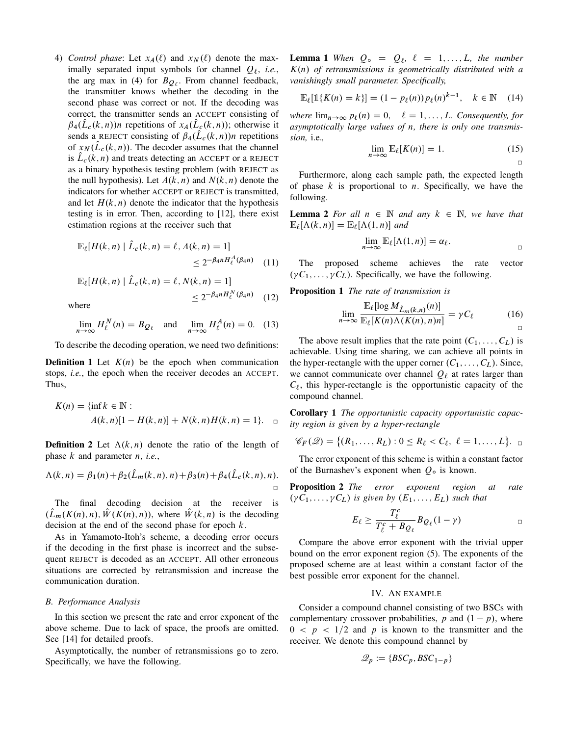4) *Control phase*: Let  $x_A(\ell)$  and  $x_N(\ell)$  denote the maximally separated input symbols for channel  $Q_\ell$ , *i.e.*, the arg max in (4) for  $B_{Q_\ell}$ . From channel feedback, the transmitter knows whether the decoding in the second phase was correct or not. If the decoding was correct, the transmitter sends an ACCEPT consisting of  $\beta_4(\hat{L}_c(k,n))$ n repetitions of  $x_A(\hat{L}_c(k,n))$ ; otherwise it sends a REJECT consisting of  $\beta_4(\hat{L}_c(k,n))n$  repetitions of  $x_N(\hat{L}_c(k,n))$ . The decoder assumes that the channel is  $\hat{L}_c(k,n)$  and treats detecting an ACCEPT or a REJECT as a binary hypothesis testing problem (with REJECT as the null hypothesis). Let  $A(k, n)$  and  $N(k, n)$  denote the indicators for whether ACCEPT or REJECT is transmitted, and let  $H(k, n)$  denote the indicator that the hypothesis testing is in error. Then, according to [12], there exist estimation regions at the receiver such that

$$
\mathbb{E}_{\ell}[H(k,n) | \hat{L}_c(k,n) = \ell, A(k,n) = 1] \le 2^{-\beta_4 n H_{\ell}^A(\beta_4 n)} \quad (11)
$$

$$
\mathbb{E}_{\ell}[H(k,n) | \hat{L}_c(k,n) = \ell, N(k,n) = 1] \le 2^{-\beta_4 n H_{\ell}^N(\beta_4 n)} \quad (12)
$$

where

$$
\lim_{n \to \infty} H_{\ell}^{N}(n) = B_{Q_{\ell}} \quad \text{and} \quad \lim_{n \to \infty} H_{\ell}^{A}(n) = 0. \tag{13}
$$

To describe the decoding operation, we need two definitions:

**Definition 1** Let  $K(n)$  be the epoch when communication stops, *i.e.*, the epoch when the receiver decodes an ACCEPT. Thus,

$$
K(n) = \{ \inf k \in \mathbb{N} : A(k, n) [1 - H(k, n)] + N(k, n) H(k, n) = 1 \}.
$$

**Definition 2** Let  $\Lambda(k, n)$  denote the ratio of the length of phase k and parameter n, *i.e.*,

$$
\Lambda(k,n) = \beta_1(n) + \beta_2(\hat{L}_m(k,n),n) + \beta_3(n) + \beta_4(\hat{L}_c(k,n),n).
$$

The final decoding decision at the receiver is  $(\hat{L}_m(K(n), n), \hat{W}(K(n), n))$ , where  $\hat{W}(k, n)$  is the decoding decision at the end of the second phase for epoch  $k$ .

As in Yamamoto-Itoh's scheme, a decoding error occurs if the decoding in the first phase is incorrect and the subsequent REJECT is decoded as an ACCEPT. All other erroneous situations are corrected by retransmission and increase the communication duration.

## *B. Performance Analysis*

In this section we present the rate and error exponent of the above scheme. Due to lack of space, the proofs are omitted. See [14] for detailed proofs.

Asymptotically, the number of retransmissions go to zero. Specifically, we have the following.

**Lemma 1** When  $Q_0 = Q_\ell, \ell = 1, \ldots, L$ , the number K.n/ *of retransmissions is geometrically distributed with a vanishingly small parameter. Specifically,*

$$
\mathbb{E}_{\ell}[\mathbb{1}\{K(n) = k\}] = (1 - p_{\ell}(n))p_{\ell}(n)^{k-1}, \quad k \in \mathbb{N} \quad (14)
$$

*where*  $\lim_{n\to\infty} p_\ell(n) = 0, \quad \ell = 1, \ldots, L$ *. Consequently, for asymptotically large values of* n*, there is only one transmission,* i.e.*,*

$$
\lim_{n \to \infty} \mathbb{E}_{\ell}[K(n)] = 1. \tag{15}
$$

 $\Box$ 

Furthermore, along each sample path, the expected length of phase  $k$  is proportional to  $n$ . Specifically, we have the following.

**Lemma 2** For all  $n \in \mathbb{N}$  and any  $k \in \mathbb{N}$ , we have that  $\mathbb{E}_{\ell}[\Lambda(k,n)] = \mathbb{E}_{\ell}[\Lambda(1,n)]$  and

$$
\lim_{n\to\infty}\mathbb{E}_{\ell}[\Lambda(1,n)]=\alpha_{\ell}.
$$

The proposed scheme achieves the rate vector  $(\gamma C_1, \ldots, \gamma C_L)$ . Specifically, we have the following.

Proposition 1 *The rate of transmission is*

$$
\lim_{n \to \infty} \frac{\mathbb{E}_{\ell}[\log M_{\hat{L}_m(k,n)}(n)]}{\mathbb{E}_{\ell}[K(n)\Lambda(K(n),n)n]} = \gamma C_{\ell} \tag{16}
$$

The above result implies that the rate point  $(C_1, \ldots, C_L)$  is achievable. Using time sharing, we can achieve all points in the hyper-rectangle with the upper corner  $(C_1, \ldots, C_L)$ . Since, we cannot communicate over channel  $Q_\ell$  at rates larger than  $C_{\ell}$ , this hyper-rectangle is the opportunistic capacity of the compound channel.

Corollary 1 *The opportunistic capacity opportunistic capacity region is given by a hyper-rectangle*

$$
\mathscr{C}_F(\mathscr{Q}) = \{(R_1,\ldots,R_L): 0 \leq R_\ell < C_\ell, \ell = 1,\ldots,L\}.
$$

The error exponent of this scheme is within a constant factor of the Burnashev's exponent when  $Q_{\circ}$  is known.

Proposition 2 *The error exponent region at rate*  $(\gamma C_1, \ldots, \gamma C_L)$  is given by  $(E_1, \ldots, E_L)$  such that

$$
E_{\ell} \geq \frac{T_{\ell}^{c}}{T_{\ell}^{c} + B_{Q_{\ell}}} B_{Q_{\ell}} (1 - \gamma) \qquad \qquad \Box
$$

Compare the above error exponent with the trivial upper bound on the error exponent region (5). The exponents of the proposed scheme are at least within a constant factor of the best possible error exponent for the channel.

# IV. AN EXAMPLE

Consider a compound channel consisting of two BSCs with complementary crossover probabilities, p and  $(1 - p)$ , where  $0 \lt p \lt 1/2$  and p is known to the transmitter and the receiver. We denote this compound channel by

$$
\mathcal{Q}_p := \{ BSC_p, BSC_{1-p} \}
$$